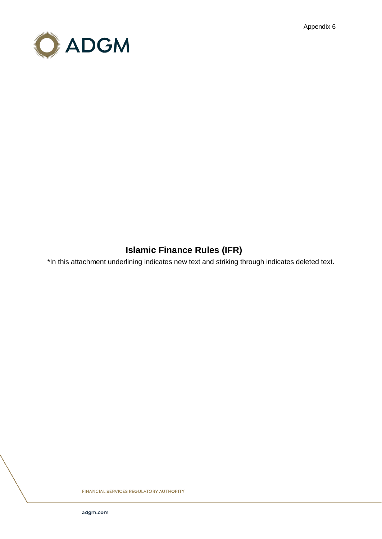Appendix 6



# **Islamic Finance Rules (IFR)**

\*In this attachment underlining indicates new text and striking through indicates deleted text.

**FINANCIAL SERVICES REGULATORY AUTHORITY**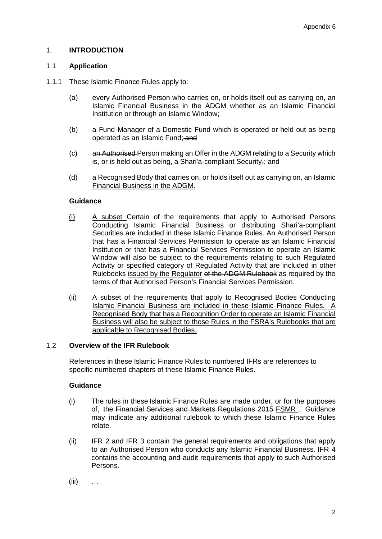# 1. **INTRODUCTION**

### 1.1 **Application**

- 1.1.1 These Islamic Finance Rules apply to:
	- (a) every Authorised Person who carries on, or holds itself out as carrying on, an Islamic Financial Business in the ADGM whether as an Islamic Financial Institution or through an Islamic Window;
	- (b) a Fund Manager of a Domestic Fund which is operated or held out as being operated as an Islamic Fund; and
	- (c) an Authorised Person making an Offer in the ADGM relating to a Security which is, or is held out as being, a Shari'a-compliant Security.; and
	- (d) a Recognised Body that carries on, or holds itself out as carrying on, an Islamic Financial Business in the ADGM.

### **Guidance**

- (i) A subset Certain of the requirements that apply to Authorised Persons Conducting Islamic Financial Business or distributing Shari'a-compliant Securities are included in these Islamic Finance Rules. An Authorised Person that has a Financial Services Permission to operate as an Islamic Financial Institution or that has a Financial Services Permission to operate an Islamic Window will also be subject to the requirements relating to such Regulated Activity or specified category of Regulated Activity that are included in other Rulebooks issued by the Regulator of the ADGM Rulebook as required by the terms of that Authorised Person's Financial Services Permission.
- (ii) A subset of the requirements that apply to Recognised Bodies Conducting Islamic Financial Business are included in these Islamic Finance Rules. A Recognised Body that has a Recognition Order to operate an Islamic Financial Business will also be subject to those Rules in the FSRA's Rulebooks that are applicable to Recognised Bodies.

#### 1.2 **Overview of the IFR Rulebook**

References in these Islamic Finance Rules to numbered IFRs are references to specific numbered chapters of these Islamic Finance Rules.

### **Guidance**

- (i) The rules in these Islamic Finance Rules are made under, or for the purposes of, the Financial Services and Markets Regulations 2015 FSMR . Guidance may indicate any additional rulebook to which these Islamic Finance Rules relate.
- (ii) IFR 2 and IFR 3 contain the general requirements and obligations that apply to an Authorised Person who conducts any Islamic Financial Business. IFR 4 contains the accounting and audit requirements that apply to such Authorised Persons.
- $(iii)$  …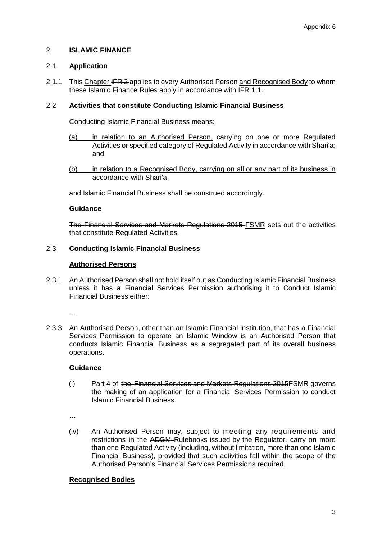# 2. **ISLAMIC FINANCE**

### 2.1 **Application**

2.1.1 This Chapter IFR 2-applies to every Authorised Person and Recognised Body to whom these Islamic Finance Rules apply in accordance with IFR 1.1.

# 2.2 **Activities that constitute Conducting Islamic Financial Business**

Conducting Islamic Financial Business means:

- (a) in relation to an Authorised Person, carrying on one or more Regulated Activities or specified category of Regulated Activity in accordance with Shari'a; and
- (b) in relation to a Recognised Body, carrying on all or any part of its business in accordance with Shari'a,

and Islamic Financial Business shall be construed accordingly.

### **Guidance**

The Financial Services and Markets Regulations 2015 FSMR sets out the activities that constitute Regulated Activities.

# 2.3 **Conducting Islamic Financial Business**

# **Authorised Persons**

2.3.1 An Authorised Person shall not hold itself out as Conducting Islamic Financial Business unless it has a Financial Services Permission authorising it to Conduct Islamic Financial Business either:

…

2.3.3 An Authorised Person, other than an Islamic Financial Institution, that has a Financial Services Permission to operate an Islamic Window is an Authorised Person that conducts Islamic Financial Business as a segregated part of its overall business operations.

### **Guidance**

(i) Part 4 of the Financial Services and Markets Regulations 2015FSMR governs the making of an application for a Financial Services Permission to conduct Islamic Financial Business.

…

(iv) An Authorised Person may, subject to meeting any requirements and restrictions in the ADGM-Rulebooks issued by the Regulator, carry on more than one Regulated Activity (including, without limitation, more than one Islamic Financial Business), provided that such activities fall within the scope of the Authorised Person's Financial Services Permissions required.

# **Recognised Bodies**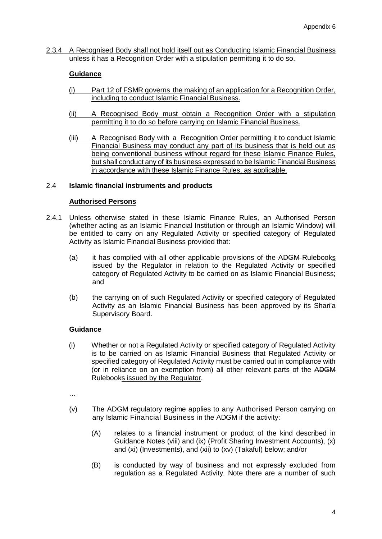2.3.4 A Recognised Body shall not hold itself out as Conducting Islamic Financial Business unless it has a Recognition Order with a stipulation permitting it to do so.

### **Guidance**

- (i) Part 12 of FSMR governs the making of an application for a Recognition Order, including to conduct Islamic Financial Business.
- (ii) A Recognised Body must obtain a Recognition Order with a stipulation permitting it to do so before carrying on Islamic Financial Business.
- (iii) A Recognised Body with a Recognition Order permitting it to conduct Islamic Financial Business may conduct any part of its business that is held out as being conventional business without regard for these Islamic Finance Rules, but shall conduct any of its business expressed to be Islamic Financial Business in accordance with these Islamic Finance Rules, as applicable.

### 2.4 **Islamic financial instruments and products**

### **Authorised Persons**

- 2.4.1 Unless otherwise stated in these Islamic Finance Rules, an Authorised Person (whether acting as an Islamic Financial Institution or through an Islamic Window) will be entitled to carry on any Regulated Activity or specified category of Regulated Activity as Islamic Financial Business provided that:
	- (a) it has complied with all other applicable provisions of the ADGM-Rulebooks issued by the Regulator in relation to the Regulated Activity or specified category of Regulated Activity to be carried on as Islamic Financial Business; and
	- (b) the carrying on of such Regulated Activity or specified category of Regulated Activity as an Islamic Financial Business has been approved by its Shari'a Supervisory Board.

### **Guidance**

(i) Whether or not a Regulated Activity or specified category of Regulated Activity is to be carried on as Islamic Financial Business that Regulated Activity or specified category of Regulated Activity must be carried out in compliance with (or in reliance on an exemption from) all other relevant parts of the ADGM Rulebooks issued by the Regulator.

…

- (v) The ADGM regulatory regime applies to any Authorised Person carrying on any Islamic Financial Business in the ADGM if the activity:
	- (A) relates to a financial instrument or product of the kind described in Guidance Notes (viii) and (ix) (Profit Sharing Investment Accounts), (x) and (xi) (Investments), and (xii) to (xv) (Takaful) below; and/or
	- (B) is conducted by way of business and not expressly excluded from regulation as a Regulated Activity. Note there are a number of such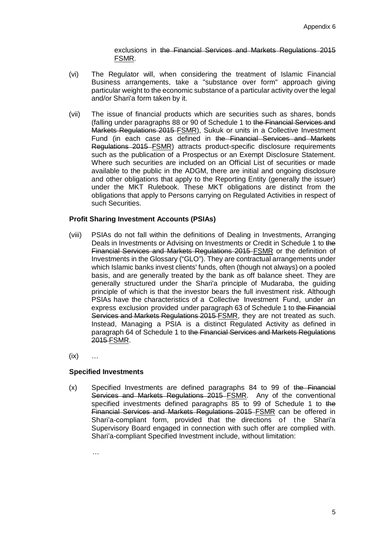exclusions in the Financial Services and Markets Regulations 2015 FSMR.

- (vi) The Regulator will, when considering the treatment of Islamic Financial Business arrangements, take a "substance over form" approach giving particular weight to the economic substance of a particular activity over the legal and/or Shari'a form taken by it.
- (vii) The issue of financial products which are securities such as shares, bonds (falling under paragraphs 88 or 90 of Schedule 1 to the Financial Services and Markets Regulations 2015 FSMR), Sukuk or units in a Collective Investment Fund (in each case as defined in the Financial Services and Markets Regulations 2015 FSMR) attracts product-specific disclosure requirements such as the publication of a Prospectus or an Exempt Disclosure Statement. Where such securities are included on an Official List of securities or made available to the public in the ADGM, there are initial and ongoing disclosure and other obligations that apply to the Reporting Entity (generally the issuer) under the MKT Rulebook. These MKT obligations are distinct from the obligations that apply to Persons carrying on Regulated Activities in respect of such Securities.

### **Profit Sharing Investment Accounts (PSIAs)**

- (viii) PSIAs do not fall within the definitions of Dealing in Investments, Arranging Deals in Investments or Advising on Investments or Credit in Schedule 1 to the Financial Services and Markets Regulations 2015 FSMR or the definition of Investments in the Glossary ("GLO"). They are contractual arrangements under which Islamic banks invest clients' funds, often (though not always) on a pooled basis, and are generally treated by the bank as off balance sheet. They are generally structured under the Shari'a principle of Mudaraba, the guiding principle of which is that the investor bears the full investment risk. Although PSIAs have the characteristics of a Collective Investment Fund, under an express exclusion provided under paragraph 63 of Schedule 1 to the Financial Services and Markets Regulations 2015 FSMR, they are not treated as such. Instead, Managing a PSIA is a distinct Regulated Activity as defined in paragraph 64 of Schedule 1 to the Financial Services and Markets Regulations 2015 FSMR.
- $(ix)$  …

### **Specified Investments**

(x) Specified Investments are defined paragraphs 84 to 99 of the Financial Services and Markets Regulations 2015 FSMR. Any of the conventional specified investments defined paragraphs 85 to 99 of Schedule 1 to the Financial Services and Markets Regulations 2015 FSMR can be offered in Shari'a-compliant form, provided that the directions of the Shari'a Supervisory Board engaged in connection with such offer are complied with. Shari'a-compliant Specified Investment include, without limitation:

…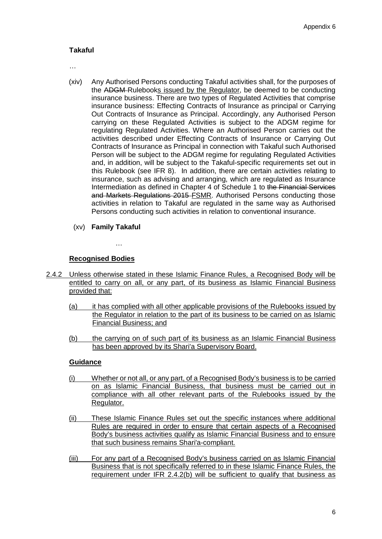# **Takaful**

…

- (xiv) Any Authorised Persons conducting Takaful activities shall, for the purposes of the ADGM-Rulebooks issued by the Regulator, be deemed to be conducting insurance business. There are two types of Regulated Activities that comprise insurance business: Effecting Contracts of Insurance as principal or Carrying Out Contracts of Insurance as Principal. Accordingly, any Authorised Person carrying on these Regulated Activities is subject to the ADGM regime for regulating Regulated Activities. Where an Authorised Person carries out the activities described under Effecting Contracts of Insurance or Carrying Out Contracts of Insurance as Principal in connection with Takaful such Authorised Person will be subject to the ADGM regime for regulating Regulated Activities and, in addition, will be subject to the Takaful-specific requirements set out in this Rulebook (see IFR 8). In addition, there are certain activities relating to insurance, such as advising and arranging, which are regulated as Insurance Intermediation as defined in Chapter 4 of Schedule 1 to the Financial Services and Markets Regulations 2015 FSMR. Authorised Persons conducting those activities in relation to Takaful are regulated in the same way as Authorised Persons conducting such activities in relation to conventional insurance.
	- (xv) **Family Takaful**

…

# **Recognised Bodies**

- 2.4.2 Unless otherwise stated in these Islamic Finance Rules, a Recognised Body will be entitled to carry on all, or any part, of its business as Islamic Financial Business provided that:
	- (a) it has complied with all other applicable provisions of the Rulebooks issued by the Regulator in relation to the part of its business to be carried on as Islamic Financial Business; and
	- (b) the carrying on of such part of its business as an Islamic Financial Business has been approved by its Shari'a Supervisory Board.

### **Guidance**

- (i) Whether or not all, or any part, of a Recognised Body's business is to be carried on as Islamic Financial Business, that business must be carried out in compliance with all other relevant parts of the Rulebooks issued by the Regulator.
- (ii) These Islamic Finance Rules set out the specific instances where additional Rules are required in order to ensure that certain aspects of a Recognised Body's business activities qualify as Islamic Financial Business and to ensure that such business remains Shari'a-compliant.
- (iii) For any part of a Recognised Body's business carried on as Islamic Financial Business that is not specifically referred to in these Islamic Finance Rules, the requirement under IFR 2.4.2(b) will be sufficient to qualify that business as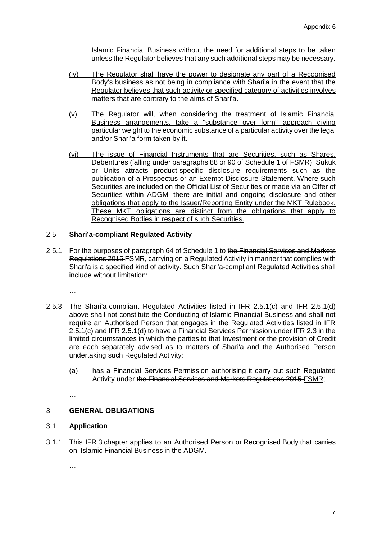Islamic Financial Business without the need for additional steps to be taken unless the Regulator believes that any such additional steps may be necessary.

- (iv) The Regulator shall have the power to designate any part of a Recognised Body's business as not being in compliance with Shari'a in the event that the Regulator believes that such activity or specified category of activities involves matters that are contrary to the aims of Shari'a.
- (v) The Regulator will, when considering the treatment of Islamic Financial Business arrangements, take a "substance over form" approach giving particular weight to the economic substance of a particular activity over the legal and/or Shari'a form taken by it.
- (vi) The issue of Financial Instruments that are Securities, such as Shares, Debentures (falling under paragraphs 88 or 90 of Schedule 1 of FSMR), Sukuk or Units attracts product-specific disclosure requirements such as the publication of a Prospectus or an Exempt Disclosure Statement. Where such Securities are included on the Official List of Securities or made via an Offer of Securities within ADGM, there are initial and ongoing disclosure and other obligations that apply to the Issuer/Reporting Entity under the MKT Rulebook. These MKT obligations are distinct from the obligations that apply to Recognised Bodies in respect of such Securities.

# 2.5 **Shari'a-compliant Regulated Activity**

2.5.1 For the purposes of paragraph 64 of Schedule 1 to the Financial Services and Markets Regulations 2015 FSMR, carrying on a Regulated Activity in manner that complies with Shari'a is a specified kind of activity. Such Shari'a-compliant Regulated Activities shall include without limitation:

…

- 2.5.3 The Shari'a-compliant Regulated Activities listed in IFR 2.5.1(c) and IFR 2.5.1(d) above shall not constitute the Conducting of Islamic Financial Business and shall not require an Authorised Person that engages in the Regulated Activities listed in IFR 2.5.1(c) and IFR 2.5.1(d) to have a Financial Services Permission under IFR 2.3 in the limited circumstances in which the parties to that Investment or the provision of Credit are each separately advised as to matters of Shari'a and the Authorised Person undertaking such Regulated Activity:
	- (a) has a Financial Services Permission authorising it carry out such Regulated Activity under the Financial Services and Markets Regulations 2015 FSMR;

…

# 3. **GENERAL OBLIGATIONS**

### 3.1 **Application**

3.1.1 This IFR 3-chapter applies to an Authorised Person or Recognised Body that carries on Islamic Financial Business in the ADGM.

…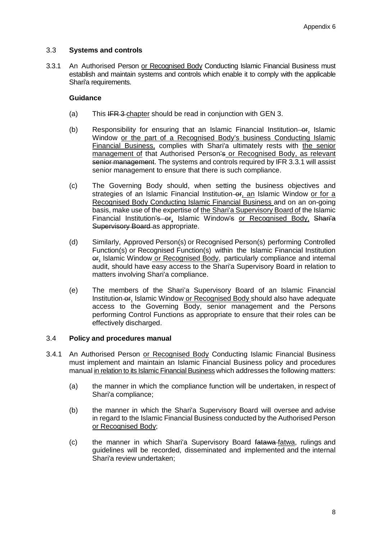### 3.3 **Systems and controls**

<span id="page-7-0"></span>3.3.1 An Authorised Person or Recognised Body Conducting Islamic Financial Business must establish and maintain systems and controls which enable it to comply with the applicable Shari'a requirements.

### **Guidance**

- (a) This IFR 3-chapter should be read in conjunction with GEN 3.
- (b) Responsibility for ensuring that an Islamic Financial Institution–or, Islamic Window or the part of a Recognised Body's business Conducting Islamic Financial Business, complies with Shari'a ultimately rests with the senior management of that Authorised Person's or Recognised Body, as relevant senior management. The systems and controls required by IFR [3.3.1](#page-7-0) will assist senior management to ensure that there is such compliance.
- (c) The Governing Body should, when setting the business objectives and strategies of an Islamic Financial Institution–or, an Islamic Window or for a Recognised Body Conducting Islamic Financial Business and on an on-going basis, make use of the expertise of the Shari'a Supervisory Board of the Islamic Financial Institution's or, Islamic Window's or Recognised Body, Shari'a Supervisory Board as appropriate.
- (d) Similarly, Approved Person(s) or Recognised Person(s) performing Controlled Function(s) or Recognised Function(s) within the Islamic Financial Institution or, Islamic Window or Recognised Body, particularly compliance and internal audit, should have easy access to the Shari'a Supervisory Board in relation to matters involving Shari'a compliance.
- (e) The members of the Shari'a Supervisory Board of an Islamic Financial Institution-or, Islamic Window or Recognised Body should also have adequate access to the Governing Body, senior management and the Persons performing Control Functions as appropriate to ensure that their roles can be effectively discharged.

### 3.4 **Policy and procedures manual**

- 3.4.1 An Authorised Person or Recognised Body Conducting Islamic Financial Business must implement and maintain an Islamic Financial Business policy and procedures manual in relation to its Islamic Financial Business which addresses the following matters:
	- (a) the manner in which the compliance function will be undertaken, in respect of Shari'a compliance;
	- (b) the manner in which the Shari'a Supervisory Board will oversee and advise in regard to the Islamic Financial Business conducted by the Authorised Person or Recognised Body;
	- (c) the manner in which Shari'a Supervisory Board fatawa fatwa, rulings and guidelines will be recorded, disseminated and implemented and the internal Shari'a review undertaken;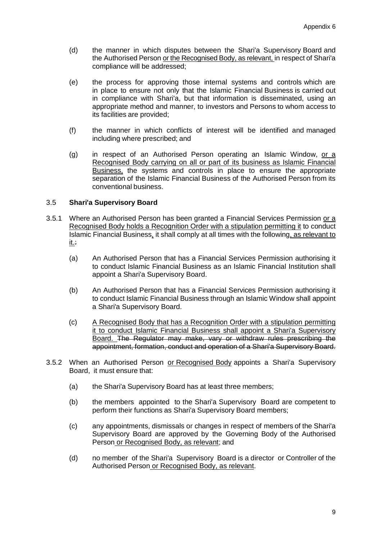- (d) the manner in which disputes between the Shari'a Supervisory Board and the Authorised Person or the Recognised Body, as relevant, in respect of Shari'a compliance will be addressed;
- (e) the process for approving those internal systems and controls which are in place to ensure not only that the Islamic Financial Business is carried out in compliance with Shari'a, but that information is disseminated, using an appropriate method and manner, to investors and Persons to whom access to its facilities are provided;
- (f) the manner in which conflicts of interest will be identified and managed including where prescribed; and
- (g) in respect of an Authorised Person operating an Islamic Window, or a Recognised Body carrying on all or part of its business as Islamic Financial Business, the systems and controls in place to ensure the appropriate separation of the Islamic Financial Business of the Authorised Person from its conventional business.

### 3.5 **Shari'a Supervisory Board**

- 3.5.1 Where an Authorised Person has been granted a Financial Services Permission or a Recognised Body holds a Recognition Order with a stipulation permitting it to conduct Islamic Financial Business, it shall comply at all times with the following, as relevant to it.:
	- (a) An Authorised Person that has a Financial Services Permission authorising it to conduct Islamic Financial Business as an Islamic Financial Institution shall appoint a Shari'a Supervisory Board.
	- (b) An Authorised Person that has a Financial Services Permission authorising it to conduct Islamic Financial Business through an Islamic Window shall appoint a Shari'a Supervisory Board.
	- (c) A Recognised Body that has a Recognition Order with a stipulation permitting it to conduct Islamic Financial Business shall appoint a Shari'a Supervisory Board. The Regulator may make, vary or withdraw rules prescribing the appointment, formation, conduct and operation of a Shari'a Supervisory Board.
- <span id="page-8-0"></span>3.5.2 When an Authorised Person or Recognised Body appoints a Shari'a Supervisory Board, it must ensure that:
	- (a) the Shari'a Supervisory Board has at least three members;
	- (b) the members appointed to the Shari'a Supervisory Board are competent to perform their functions as Shari'a Supervisory Board members;
	- (c) any appointments, dismissals or changes in respect of members of the Shari'a Supervisory Board are approved by the Governing Body of the Authorised Person or Recognised Body, as relevant; and
	- (d) no member of the Shari'a Supervisory Board is a director or Controller of the Authorised Person or Recognised Body, as relevant.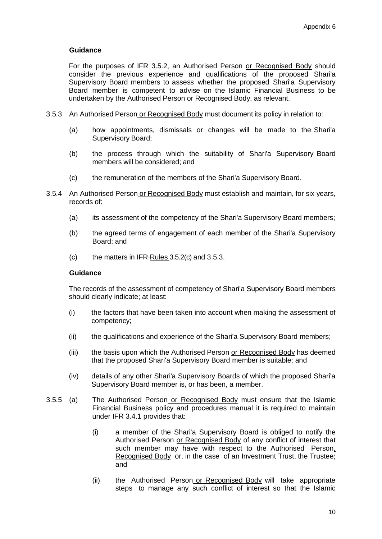### **Guidance**

For the purposes of IFR [3.5.2,](#page-8-0) an Authorised Person or Recognised Body should consider the previous experience and qualifications of the proposed Shari'a Supervisory Board members to assess whether the proposed Shari'a Supervisory Board member is competent to advise on the Islamic Financial Business to be undertaken by the Authorised Person or Recognised Body, as relevant.

- 3.5.3 An Authorised Person or Recognised Body must document its policy in relation to:
	- (a) how appointments, dismissals or changes will be made to the Shari'a Supervisory Board;
	- (b) the process through which the suitability of Shari'a Supervisory Board members will be considered; and
	- (c) the remuneration of the members of the Shari'a Supervisory Board.
- 3.5.4 An Authorised Person or Recognised Body must establish and maintain, for six years, records of:
	- (a) its assessment of the competency of the Shari'a Supervisory Board members;
	- (b) the agreed terms of engagement of each member of the Shari'a Supervisory Board; and
	- (c) the matters in  $IFR\text{-}Rules$  3.5.2(c) and 3.5.3.

#### **Guidance**

The records of the assessment of competency of Shari'a Supervisory Board members should clearly indicate; at least:

- (i) the factors that have been taken into account when making the assessment of competency;
- (ii) the qualifications and experience of the Shari'a Supervisory Board members;
- (iii) the basis upon which the Authorised Person or Recognised Body has deemed that the proposed Shari'a Supervisory Board member is suitable; and
- (iv) details of any other Shari'a Supervisory Boards of which the proposed Shari'a Supervisory Board member is, or has been, a member.
- 3.5.5 (a) The Authorised Person or Recognised Body must ensure that the Islamic Financial Business policy and procedures manual it is required to maintain under IFR 3.4.1 provides that:
	- (i) a member of the Shari'a Supervisory Board is obliged to notify the Authorised Person or Recognised Body of any conflict of interest that such member may have with respect to the Authorised Person, Recognised Body or, in the case of an Investment Trust, the Trustee; and
	- (ii) the Authorised Person or Recognised Body will take appropriate steps to manage any such conflict of interest so that the Islamic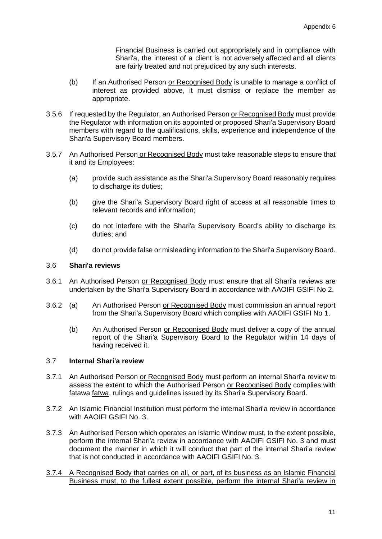Financial Business is carried out appropriately and in compliance with Shari'a, the interest of a client is not adversely affected and all clients are fairly treated and not prejudiced by any such interests.

- (b) If an Authorised Person or Recognised Body is unable to manage a conflict of interest as provided above, it must dismiss or replace the member as appropriate.
- 3.5.6 If requested by the Regulator, an Authorised Person or Recognised Body must provide the Regulator with information on its appointed or proposed Shari'a Supervisory Board members with regard to the qualifications, skills, experience and independence of the Shari'a Supervisory Board members.
- 3.5.7 An Authorised Person or Recognised Body must take reasonable steps to ensure that it and its Employees:
	- (a) provide such assistance as the Shari'a Supervisory Board reasonably requires to discharge its duties;
	- (b) give the Shari'a Supervisory Board right of access at all reasonable times to relevant records and information;
	- (c) do not interfere with the Shari'a Supervisory Board's ability to discharge its duties; and
	- (d) do not provide false or misleading information to the Shari'a Supervisory Board.

### 3.6 **Shari'a reviews**

- 3.6.1 An Authorised Person or Recognised Body must ensure that all Shari'a reviews are undertaken by the Shari'a Supervisory Board in accordance with AAOIFI GSIFI No 2.
- 3.6.2 (a) An Authorised Person or Recognised Body must commission an annual report from the Shari'a Supervisory Board which complies with AAOIFI GSIFI No 1.
	- (b) An Authorised Person or Recognised Body must deliver a copy of the annual report of the Shari'a Supervisory Board to the Regulator within 14 days of having received it.

# 3.7 **Internal Shari'a review**

- 3.7.1 An Authorised Person or Recognised Body must perform an internal Shari'a review to assess the extent to which the Authorised Person or Recognised Body complies with fatawa fatwa, rulings and guidelines issued by its Shari'a Supervisory Board.
- 3.7.2 An Islamic Financial Institution must perform the internal Shari'a review in accordance with AAOIFI GSIFI No. 3.
- 3.7.3 An Authorised Person which operates an Islamic Window must, to the extent possible, perform the internal Shari'a review in accordance with AAOIFI GSIFI No. 3 and must document the manner in which it will conduct that part of the internal Shari'a review that is not conducted in accordance with AAOIFI GSIFI No. 3.
- 3.7.4 A Recognised Body that carries on all, or part, of its business as an Islamic Financial Business must, to the fullest extent possible, perform the internal Shari'a review in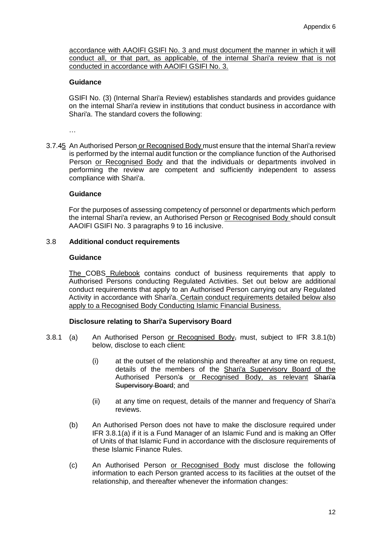accordance with AAOIFI GSIFI No. 3 and must document the manner in which it will conduct all, or that part, as applicable, of the internal Shari'a review that is not conducted in accordance with AAOIFI GSIFI No. 3.

### **Guidance**

GSIFI No. (3) (Internal Shari'a Review) establishes standards and provides guidance on the internal Shari'a review in institutions that conduct business in accordance with Shari'a. The standard covers the following:

…

3.7.45 An Authorised Person or Recognised Body must ensure that the internal Shari'a review is performed by the internal audit function or the compliance function of the Authorised Person or Recognised Body and that the individuals or departments involved in performing the review are competent and sufficiently independent to assess compliance with Shari'a.

### **Guidance**

For the purposes of assessing competency of personnel or departments which perform the internal Shari'a review, an Authorised Person or Recognised Body should consult AAOIFI GSIFI No. 3 paragraphs 9 to 16 inclusive.

### 3.8 **Additional conduct requirements**

#### **Guidance**

The COBS Rulebook contains conduct of business requirements that apply to Authorised Persons conducting Regulated Activities. Set out below are additional conduct requirements that apply to an Authorised Person carrying out any Regulated Activity in accordance with Shari'a. Certain conduct requirements detailed below also apply to a Recognised Body Conducting Islamic Financial Business.

### **Disclosure relating to Shari'a Supervisory Board**

- <span id="page-11-0"></span>3.8.1 (a) An Authorised Person or Recognised Body, must, subject to IFR 3.8.1(b) below, disclose to each client:
	- (i) at the outset of the relationship and thereafter at any time on request, details of the members of the Shari'a Supervisory Board of the Authorised Person's or Recognised Body, as relevant Shari'a Supervisory Board; and
	- (ii) at any time on request, details of the manner and frequency of Shari'a reviews.
	- (b) An Authorised Person does not have to make the disclosure required under IFR [3.8.1\(](#page-11-0)a) if it is a Fund Manager of an Islamic Fund and is making an Offer of Units of that Islamic Fund in accordance with the disclosure requirements of these Islamic Finance Rules.
	- (c) An Authorised Person or Recognised Body must disclose the following information to each Person granted access to its facilities at the outset of the relationship, and thereafter whenever the information changes: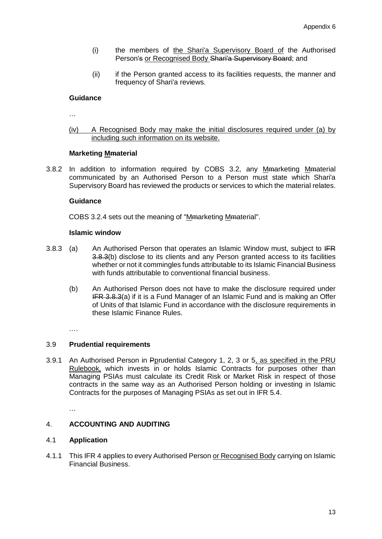- (i) the members of the Shari'a Supervisory Board of the Authorised Person's or Recognised Body Shari'a Supervisory Board; and
- (ii) if the Person granted access to its facilities requests, the manner and frequency of Shari'a reviews.

### **Guidance**

…

(iv) A Recognised Body may make the initial disclosures required under (a) by including such information on its website.

### **Marketing Mmaterial**

3.8.2 In addition to information required by COBS 3.2, any Memarketing Mematerial communicated by an Authorised Person to a Person must state which Shari'a Supervisory Board has reviewed the products or services to which the material relates.

#### **Guidance**

COBS 3.2.4 sets out the meaning of "Mmarketing Mmaterial".

#### **Islamic window**

- 3.8.3 (a) An Authorised Person that operates an Islamic Window must, subject to  $IFR$ 3.8.3(b) disclose to its clients and any Person granted access to its facilities whether or not it commingles funds attributable to its Islamic Financial Business with funds attributable to conventional financial business.
	- (b) An Authorised Person does not have to make the disclosure required under IFR 3.8.3(a) if it is a Fund Manager of an Islamic Fund and is making an Offer of Units of that Islamic Fund in accordance with the disclosure requirements in these Islamic Finance Rules.

….

#### 3.9 **Prudential requirements**

3.9.1 An Authorised Person in Porudential Category 1, 2, 3 or 5, as specified in the PRU Rulebook, which invests in or holds Islamic Contracts for purposes other than Managing PSIAs must calculate its Credit Risk or Market Risk in respect of those contracts in the same way as an Authorised Person holding or investing in Islamic Contracts for the purposes of Managing PSIAs as set out in IFR 5.4.

…

### 4. **ACCOUNTING AND AUDITING**

### 4.1 **Application**

4.1.1 This IFR 4 applies to every Authorised Person or Recognised Body carrying on Islamic Financial Business.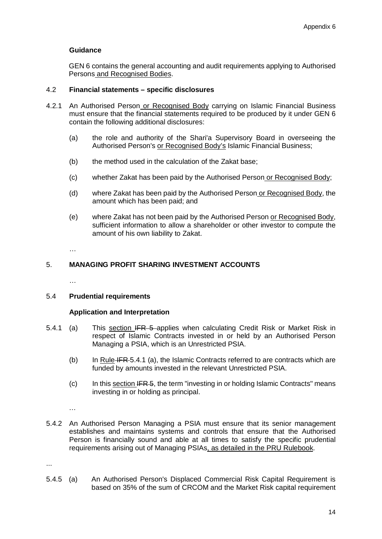### **Guidance**

GEN 6 contains the general accounting and audit requirements applying to Authorised Persons and Recognised Bodies.

### 4.2 **Financial statements – specific disclosures**

- 4.2.1 An Authorised Person or Recognised Body carrying on Islamic Financial Business must ensure that the financial statements required to be produced by it under GEN 6 contain the following additional disclosures:
	- (a) the role and authority of the Shari'a Supervisory Board in overseeing the Authorised Person's or Recognised Body's Islamic Financial Business;
	- (b) the method used in the calculation of the Zakat base;
	- (c) whether Zakat has been paid by the Authorised Person or Recognised Body;
	- (d) where Zakat has been paid by the Authorised Person or Recognised Body, the amount which has been paid; and
	- (e) where Zakat has not been paid by the Authorised Person or Recognised Body, sufficient information to allow a shareholder or other investor to compute the amount of his own liability to Zakat.

…

### 5. **MANAGING PROFIT SHARING INVESTMENT ACCOUNTS**

…

### 5.4 **Prudential requirements**

#### **Application and Interpretation**

- 5.4.1 (a) This section IFR 5-applies when calculating Credit Risk or Market Risk in respect of Islamic Contracts invested in or held by an Authorised Person Managing a PSIA, which is an Unrestricted PSIA.
	- (b) In Rule IFR 5.4.1 (a), the Islamic Contracts referred to are contracts which are funded by amounts invested in the relevant Unrestricted PSIA.
	- $(c)$  In this section IFR 5, the term "investing in or holding Islamic Contracts" means investing in or holding as principal.

…

5.4.2 An Authorised Person Managing a PSIA must ensure that its senior management establishes and maintains systems and controls that ensure that the Authorised Person is financially sound and able at all times to satisfy the specific prudential requirements arising out of Managing PSIAs, as detailed in the PRU Rulebook.

...

5.4.5 (a) An Authorised Person's Displaced Commercial Risk Capital Requirement is based on 35% of the sum of CRCOM and the Market Risk capital requirement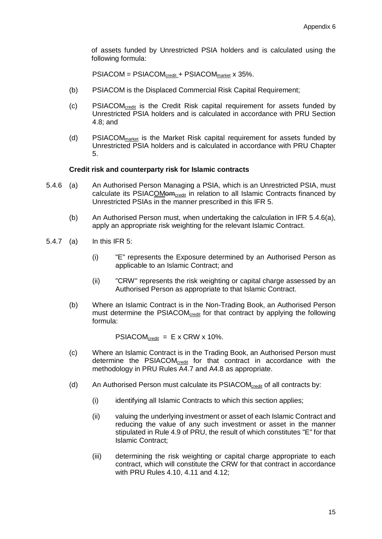of assets funded by Unrestricted PSIA holders and is calculated using the following formula:

PSIACOM = PSIACOM<sub>credit</sub> + PSIACOM<sub>market</sub> x 35%.

- (b) PSIACOM is the Displaced Commercial Risk Capital Requirement;
- (c) PSIACOMcredit is the Credit Risk capital requirement for assets funded by Unrestricted PSIA holders and is calculated in accordance with PRU Section 4.8; and
- (d) PSIACOMmarket is the Market Risk capital requirement for assets funded by Unrestricted PSIA holders and is calculated in accordance with PRU Chapter 5.

#### **Credit risk and counterparty risk for Islamic contracts**

- 5.4.6 (a) An Authorised Person Managing a PSIA, which is an Unrestricted PSIA, must calculate its PSIACOM $\theta$ m<sub>credit</sub> in relation to all Islamic Contracts financed by Unrestricted PSIAs in the manner prescribed in this IFR 5.
	- (b) An Authorised Person must, when undertaking the calculation in IFR 5.4.6(a), apply an appropriate risk weighting for the relevant Islamic Contract.
- 5.4.7 (a) In this IFR 5:
	- (i) "E" represents the Exposure determined by an Authorised Person as applicable to an Islamic Contract; and
	- (ii) "CRW" represents the risk weighting or capital charge assessed by an Authorised Person as appropriate to that Islamic Contract.
	- (b) Where an Islamic Contract is in the Non-Trading Book, an Authorised Person must determine the PSIACOM<sub>credit</sub> for that contract by applying the following formula:

 $PSIACOM_{\text{credit}} = E \times CRW \times 10\%$ .

- (c) Where an Islamic Contract is in the Trading Book, an Authorised Person must determine the PSIACOMcredit for that contract in accordance with the methodology in PRU Rules A4.7 and A4.8 as appropriate.
- (d) An Authorised Person must calculate its PSIACOM<sub>credit</sub> of all contracts by:
	- (i) identifying all Islamic Contracts to which this section applies;
	- (ii) valuing the underlying investment or asset of each Islamic Contract and reducing the value of any such investment or asset in the manner stipulated in Rule 4.9 of PRU, the result of which constitutes "E" for that Islamic Contract;
	- (iii) determining the risk weighting or capital charge appropriate to each contract, which will constitute the CRW for that contract in accordance with PRU Rules 4.10, 4.11 and 4.12;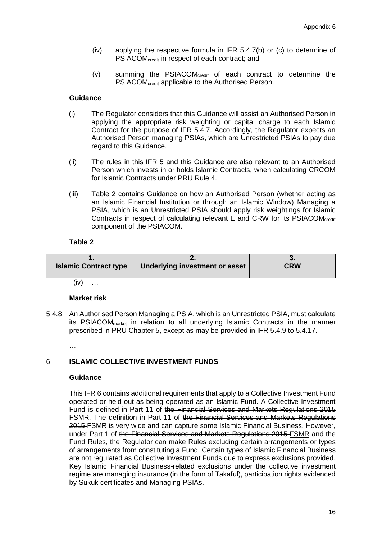- (iv) applying the respective formula in IFR 5.4.7(b) or (c) to determine of PSIACOM<sub>credit</sub> in respect of each contract; and
- (v) summing the PSIACOMcredit of each contract to determine the PSIACOM<sub>credit</sub> applicable to the Authorised Person.

### **Guidance**

- (i) The Regulator considers that this Guidance will assist an Authorised Person in applying the appropriate risk weighting or capital charge to each Islamic Contract for the purpose of IFR 5.4.7. Accordingly, the Regulator expects an Authorised Person managing PSIAs, which are Unrestricted PSIAs to pay due regard to this Guidance.
- (ii) The rules in this IFR 5 and this Guidance are also relevant to an Authorised Person which invests in or holds Islamic Contracts, when calculating CRCOM for Islamic Contracts under PRU Rule 4.
- (iii) Table 2 contains Guidance on how an Authorised Person (whether acting as an Islamic Financial Institution or through an Islamic Window) Managing a PSIA, which is an Unrestricted PSIA should apply risk weightings for Islamic Contracts in respect of calculating relevant E and CRW for its PSIACOMcredit component of the PSIACOM.

### **Table 2**

| <b>Islamic Contract type</b> | Underlying investment or asset | <b>CRW</b> |
|------------------------------|--------------------------------|------------|
|                              |                                |            |

 $(iv)$  …

#### **Market risk**

5.4.8 An Authorised Person Managing a PSIA, which is an Unrestricted PSIA, must calculate its PSIACOMmarket in relation to all underlying Islamic Contracts in the manner prescribed in PRU Chapter 5, except as may be provided in IFR 5.4.9 to 5.4.17.

#### …

### <span id="page-15-0"></span>6. **ISLAMIC COLLECTIVE INVESTMENT FUNDS**

#### **Guidance**

This IFR 6 contains additional requirements that apply to a Collective Investment Fund operated or held out as being operated as an Islamic Fund. A Collective Investment Fund is defined in Part 11 of the Financial Services and Markets Regulations 2015 FSMR. The definition in Part 11 of the Financial Services and Markets Regulations 2015 FSMR is very wide and can capture some Islamic Financial Business. However, under Part 1 of the Financial Services and Markets Regulations 2015 FSMR and the Fund Rules, the Regulator can make Rules excluding certain arrangements or types of arrangements from constituting a Fund. Certain types of Islamic Financial Business are not regulated as Collective Investment Funds due to express exclusions provided. Key Islamic Financial Business-related exclusions under the collective investment regime are managing insurance (in the form of Takaful), participation rights evidenced by Sukuk certificates and Managing PSIAs.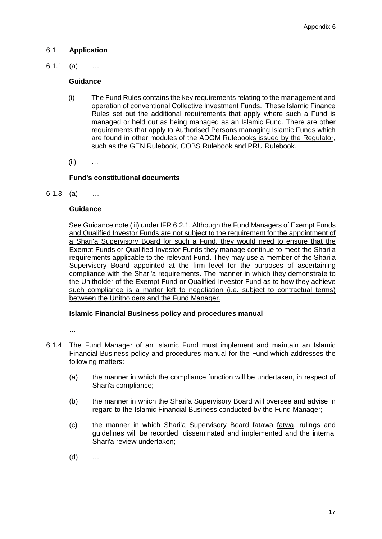# 6.1 **Application**

6.1.1 (a) …

### **Guidance**

- (i) The Fund Rules contains the key requirements relating to the management and operation of conventional Collective Investment Funds. These Islamic Finance Rules set out the additional requirements that apply where such a Fund is managed or held out as being managed as an Islamic Fund. There are other requirements that apply to Authorised Persons managing Islamic Funds which are found in other modules of the ADGM-Rulebooks issued by the Regulator, such as the GEN Rulebook, COBS Rulebook and PRU Rulebook.
- $(ii)$  …

# **Fund's constitutional documents**

6.1.3 (a) …

### **Guidance**

See Guidance note (iii) under IFR 6.2.1. Although the Fund Managers of Exempt Funds and Qualified Investor Funds are not subject to the requirement for the appointment of a Shari'a Supervisory Board for such a Fund, they would need to ensure that the Exempt Funds or Qualified Investor Funds they manage continue to meet the Shari'a requirements applicable to the relevant Fund. They may use a member of the Shari'a Supervisory Board appointed at the firm level for the purposes of ascertaining compliance with the Shari'a requirements. The manner in which they demonstrate to the Unitholder of the Exempt Fund or Qualified Investor Fund as to how they achieve such compliance is a matter left to negotiation (i.e. subject to contractual terms) between the Unitholders and the Fund Manager.

### **Islamic Financial Business policy and procedures manual**

…

- 6.1.4 The Fund Manager of an Islamic Fund must implement and maintain an Islamic Financial Business policy and procedures manual for the Fund which addresses the following matters:
	- (a) the manner in which the compliance function will be undertaken, in respect of Shari'a compliance;
	- (b) the manner in which the Shari'a Supervisory Board will oversee and advise in regard to the Islamic Financial Business conducted by the Fund Manager;
	- (c) the manner in which Shari'a Supervisory Board fatawa fatwa, rulings and guidelines will be recorded, disseminated and implemented and the internal Shari'a review undertaken;
	- (d) …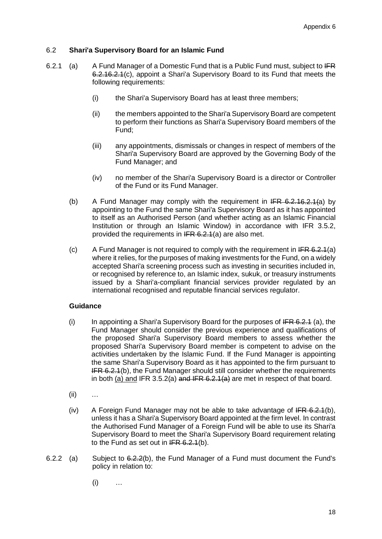### 6.2 **Shari'a Supervisory Board for an Islamic Fund**

- <span id="page-17-0"></span>6.2.1 (a) A Fund Manager of a Domestic Fund that is a Public Fund must, subject to  $IFR$ 6.2.[16.2.1\(](#page-17-0)c), appoint a Shari'a Supervisory Board to its Fund that meets the following requirements:
	- (i) the Shari'a Supervisory Board has at least three members;
	- (ii) the members appointed to the Shari'a Supervisory Board are competent to perform their functions as Shari'a Supervisory Board members of the Fund;
	- (iii) any appointments, dismissals or changes in respect of members of the Shari'a Supervisory Board are approved by the Governing Body of the Fund Manager; and
	- (iv) no member of the Shari'a Supervisory Board is a director or Controller of the Fund or its Fund Manager.
	- (b) A Fund Manager may comply with the requirement in  $IFR 6.2.16.2.1(a)$  $IFR 6.2.16.2.1(a)$  $IFR 6.2.16.2.1(a)$  by appointing to the Fund the same Shari'a Supervisory Board as it has appointed to itself as an Authorised Person (and whether acting as an Islamic Financial Institution or through an Islamic Window) in accordance with IFR 3.5.2, provided the requirements in IFR 6.2.1(a) are also met.
	- (c) A Fund Manager is not required to comply with the requirement in  $IFR 6.2.1(a)$ where it relies, for the purposes of making investments for the Fund, on a widely accepted Shari'a screening process such as investing in securities included in, or recognised by reference to, an Islamic index, sukuk, or treasury instruments issued by a Shari'a-compliant financial services provider regulated by an international recognised and reputable financial services regulator.

### **Guidance**

- (i) In appointing a Shari'a Supervisory Board for the purposes of  $IFR 6.2.1$  (a), the Fund Manager should consider the previous experience and qualifications of the proposed Shari'a Supervisory Board members to assess whether the proposed Shari'a Supervisory Board member is competent to advise on the activities undertaken by the Islamic Fund. If the Fund Manager is appointing the same Shari'a Supervisory Board as it has appointed to the firm pursuant to **IFR 6.2.1(b), the Fund Manager should still consider whether the requirements** in both (a) and IFR 3.5.2(a) and IFR  $6.2.1(4)$  are met in respect of that board.
- (ii) …
- (iv) A Foreign Fund Manager may not be able to take advantage of  $IFR 6.2.1(b)$ , unless it has a Shari'a Supervisory Board appointed at the firm level. In contrast the Authorised Fund Manager of a Foreign Fund will be able to use its Shari'a Supervisory Board to meet the Shari'a Supervisory Board requirement relating to the Fund as set out in  $IFR 6.2.1(b)$ .
- 6.2.2 (a) Subject to 6.2.2(b), the Fund Manager of a Fund must document the Fund's policy in relation to:
	- $(i)$  …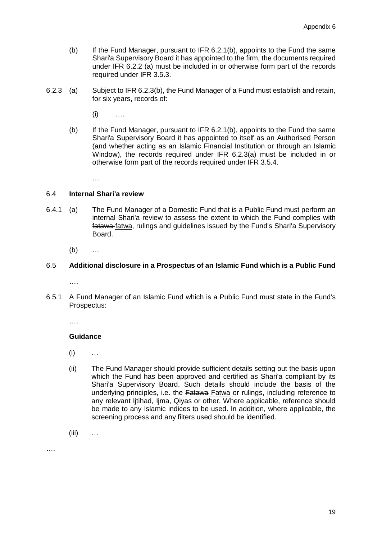- (b) If the Fund Manager, pursuant to IFR 6.2.1(b), appoints to the Fund the same Shari'a Supervisory Board it has appointed to the firm, the documents required under IFR 6.2.2 (a) must be included in or otherwise form part of the records required under IFR 3.5.3.
- 6.2.3 (a) Subject to IFR 6.2.3(b), the Fund Manager of a Fund must establish and retain, for six years, records of:
	- $(i)$  ….
	- (b) If the Fund Manager, pursuant to IFR [6.2.1\(](#page-17-0)b), appoints to the Fund the same Shari'a Supervisory Board it has appointed to itself as an Authorised Person (and whether acting as an Islamic Financial Institution or through an Islamic Window), the records required under IFR 6.2.3(a) must be included in or otherwise form part of the records required under IFR 3.5.4.

…

### 6.4 **Internal Shari'a review**

6.4.1 (a) The Fund Manager of a Domestic Fund that is a Public Fund must perform an internal Shari'a review to assess the extent to which the Fund complies with fatawa fatwa, rulings and guidelines issued by the Fund's Shari'a Supervisory Board.

(b) …

# 6.5 **Additional disclosure in a Prospectus of an Islamic Fund which is a Public Fund**

….

6.5.1 A Fund Manager of an Islamic Fund which is a Public Fund must state in the Fund's Prospectus:

….

### **Guidance**

- (i) …
- (ii) The Fund Manager should provide sufficient details setting out the basis upon which the Fund has been approved and certified as Shari'a compliant by its Shari'a Supervisory Board. Such details should include the basis of the underlying principles, i.e. the Fatawa Fatwa or rulings, including reference to any relevant Ijtihad, Ijma, Qiyas or other. Where applicable, reference should be made to any Islamic indices to be used. In addition, where applicable, the screening process and any filters used should be identified.
- $(iii)$  …

….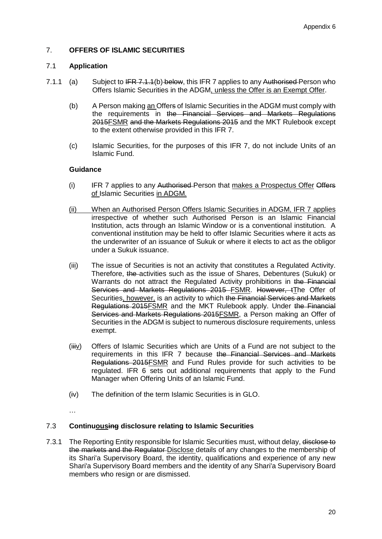# 7. **OFFERS OF ISLAMIC SECURITIES**

### 7.1 **Application**

- 7.1.1 (a) Subject to IFR 7.1.1(b) below, this IFR 7 applies to any Authorised Person who Offers Islamic Securities in the ADGM, unless the Offer is an Exempt Offer.
	- (b) A Person making an Offers of Islamic Securities in the ADGM must comply with the requirements in the Financial Services and Markets Regulations 2015FSMR and the Markets Regulations 2015 and the MKT Rulebook except to the extent otherwise provided in this IFR 7.
	- (c) Islamic Securities, for the purposes of this IFR 7, do not include Units of an Islamic Fund.

### **Guidance**

- (i) IFR 7 applies to any Authorised-Person that makes a Prospectus Offer Offers of Islamic Securities in ADGM.
- (ii) When an Authorised Person Offers Islamic Securities in ADGM, IFR 7 applies irrespective of whether such Authorised Person is an Islamic Financial Institution, acts through an Islamic Window or is a conventional institution. A conventional institution may be held to offer Islamic Securities where it acts as the underwriter of an issuance of Sukuk or where it elects to act as the obligor under a Sukuk issuance.
- (iii) The issue of Securities is not an activity that constitutes a Regulated Activity. Therefore, the activities such as the issue of Shares, Debentures (Sukuk) or Warrants do not attract the Regulated Activity prohibitions in the Financial Services and Markets Regulations 2015 FSMR. However, tThe Offer of Securities, however, is an activity to which the Financial Services and Markets Regulations 2015FSMR and the MKT Rulebook apply. Under the Financial Services and Markets Regulations 2015FSMR, a Person making an Offer of Securities in the ADGM is subject to numerous disclosure requirements, unless exempt.
- (iiiv) Offers of Islamic Securities which are Units of a Fund are not subject to the requirements in this IFR 7 because the Financial Services and Markets Regulations 2015FSMR and Fund Rules provide for such activities to be regulated. IFR [6](#page-15-0) sets out additional requirements that apply to the Fund Manager when Offering Units of an Islamic Fund.
- (iv) The definition of the term Islamic Securities is in GLO.
- …

# 7.3 **Continuousing disclosure relating to Islamic Securities**

7.3.1 The Reporting Entity responsible for Islamic Securities must, without delay, disclose to the markets and the Regulator Disclose details of any changes to the membership of its Shari'a Supervisory Board, the identity, qualifications and experience of any new Shari'a Supervisory Board members and the identity of any Shari'a Supervisory Board members who resign or are dismissed.